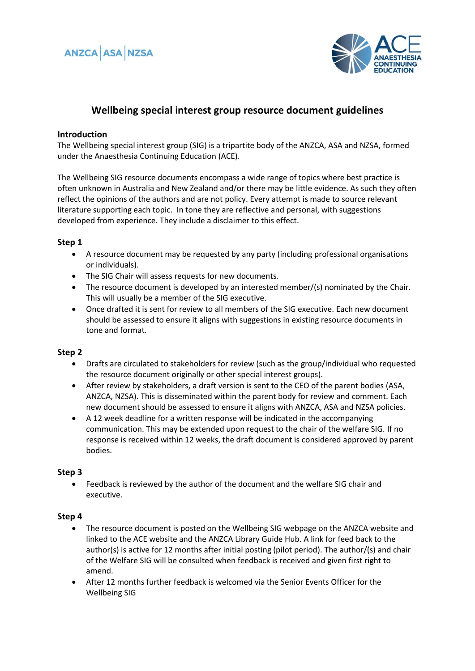



# **Wellbeing special interest group resource document guidelines**

## **Introduction**

The Wellbeing special interest group (SIG) is a tripartite body of the ANZCA, ASA and NZSA, formed under the Anaesthesia Continuing Education (ACE).

The Wellbeing SIG resource documents encompass a wide range of topics where best practice is often unknown in Australia and New Zealand and/or there may be little evidence. As such they often reflect the opinions of the authors and are not policy. Every attempt is made to source relevant literature supporting each topic. In tone they are reflective and personal, with suggestions developed from experience. They include a disclaimer to this effect.

### **Step 1**

- A resource document may be requested by any party (including professional organisations or individuals).
- The SIG Chair will assess requests for new documents.
- The resource document is developed by an interested member/(s) nominated by the Chair. This will usually be a member of the SIG executive.
- Once drafted it is sent for review to all members of the SIG executive. Each new document should be assessed to ensure it aligns with suggestions in existing resource documents in tone and format.

#### **Step 2**

- Drafts are circulated to stakeholders for review (such as the group/individual who requested the resource document originally or other special interest groups).
- After review by stakeholders, a draft version is sent to the CEO of the parent bodies (ASA, ANZCA, NZSA). This is disseminated within the parent body for review and comment. Each new document should be assessed to ensure it aligns with ANZCA, ASA and NZSA policies.
- A 12 week deadline for a written response will be indicated in the accompanying communication. This may be extended upon request to the chair of the welfare SIG. If no response is received within 12 weeks, the draft document is considered approved by parent bodies.

#### **Step 3**

 Feedback is reviewed by the author of the document and the welfare SIG chair and executive.

#### **Step 4**

- The resource document is posted on the Wellbeing SIG webpage on the ANZCA website and linked to the ACE website and the ANZCA Library Guide Hub. A link for feed back to the author(s) is active for 12 months after initial posting (pilot period). The author/(s) and chair of the Welfare SIG will be consulted when feedback is received and given first right to amend.
- After 12 months further feedback is welcomed via the Senior Events Officer for the Wellbeing SIG